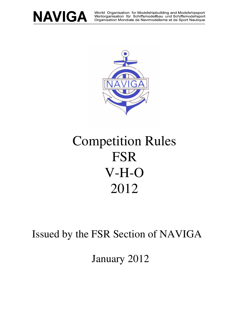

World Organisation for Modelshipbuilding and Modelshipsport Weltorganisation für Schiffsmodellbau und Schiffsmodellsport Organisation Mondiale de Navimodelisme et de Sport Nautique



# Competition Rules FSR V-H-O 2012

Issued by the FSR Section of NAVIGA

January 2012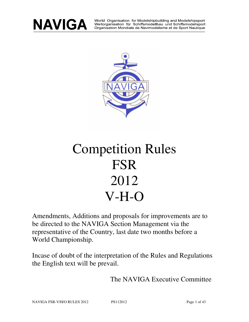

World Organisation for Modelshipbuilding and Modelshipsport<br>Weltorganisation für Schiffsmodellbau und Schiffsmodellsport Organisation Mondiale de Navimodelisme et de Sport Nautique



# Competition Rules FSR 2012 V-H-O

Amendments, Additions and proposals for improvements are to be directed to the NAVIGA Section Management via the representative of the Country, last date two months before a World Championship.

Incase of doubt of the interpretation of the Rules and Regulations the English text will be prevail.

The NAVIGA Executive Committee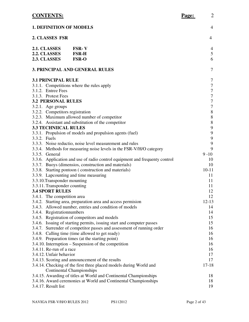# **CONTENTS: Page:** 2

| <b>1. DEFINITION OF MODELS</b>        |                                                                             | $\overline{4}$   |
|---------------------------------------|-----------------------------------------------------------------------------|------------------|
| 2. CLASSES FSR                        |                                                                             |                  |
| 2.1. CLASSES                          | <b>FSR-V</b>                                                                | 4                |
| 2.2. CLASSES                          | <b>FSR-H</b><br><b>FSR-O</b>                                                | 5<br>6           |
| 2.3. CLASSES                          |                                                                             |                  |
| <b>3. PRINCIPAL AND GENERAL RULES</b> |                                                                             |                  |
| <b>3.1 PRINCIPAL RULE</b>             |                                                                             | 7                |
|                                       | 3.1.1. Competitions where the rules apply                                   | $\boldsymbol{7}$ |
| 3.1.2. Entree Fees                    |                                                                             | $\boldsymbol{7}$ |
| 3.1.3. Protest Fees                   |                                                                             | $\boldsymbol{7}$ |
| <b>3.2 PERSONAL RULES</b>             |                                                                             | $\boldsymbol{7}$ |
| 3.2.1. Age groups                     |                                                                             | $\boldsymbol{7}$ |
| 3.2.2. Competitors registration       |                                                                             | $8\,$            |
|                                       | 3.2.3. Maximum allowed number of competitor                                 | $8\,$            |
|                                       | 3.2.4. Assistant and substitution of the competitor                         | $8\,$            |
| <b>3.3 TECHNIICAL RULES</b>           |                                                                             | $\mathbf{9}$     |
|                                       | 3.3.1. Propulsion of models and propulsion agents (fuel)                    | $\mathbf{9}$     |
| 3.3.2. Fuels                          |                                                                             | $\mathbf{9}$     |
|                                       | 3.3.3. Noise reductio, noise level measurement and rules                    | 9<br>9           |
| 3.3.5. General                        | 3.3.4. Methods for measuring noise levels in the FSR-V/H/O category         | $9 - 10$         |
|                                       | 3.3.6. Application and use of radio control equipment and frequenty control | 10               |
|                                       | 3.3.7. Buoys (dimensios, construction and materials)                        | 10               |
|                                       | 3.3.8. Starting pontoon (construction and materials)                        | $10 - 11$        |
| 3.3.9. Lapcounting and time measuring |                                                                             | 11               |
| 3.3.10. Transponder mounting          |                                                                             | 11               |
| 3.3.11. Transponder counting          |                                                                             | 11               |
| <b>3.4 SPORT RULES</b>                |                                                                             | 12               |
| 3.4.1. The competition area           |                                                                             | 12               |
|                                       | 3.4.2. Starting area, preparation area and access permision                 | $12-13$          |
|                                       | 3.4.3. Allowed number, entries and condition of models                      | 14               |
| 3.4.4. Registrationnumbers            |                                                                             | 14               |
|                                       | 3.4.5. Registration of competitors and models                               | 15               |
|                                       | 3.4.6. Issuing of starting permits, issuing start and computer passes       | 15               |
|                                       | 3.4.7. Surrender of competitor passes and assessment of running order       | 16               |
|                                       | 3.4.8. Calling time (time allowed to get ready)                             | 16               |
|                                       | 3.4.9. Preparation times (at the starting point)                            | 16               |
|                                       | 3.4.10. Interruption – Suspension of the competition                        | 16               |
| 3.4.11. Re-run of a race              |                                                                             | 16               |
| 3.4.12. Unfair behavior               |                                                                             | 17               |
|                                       | 3.4.13. Scoring and announcement of the results                             | 17               |
|                                       | 3.4.14. Checking of the first three placed models during World and          | $17 - 18$        |
|                                       | <b>Continental Championships</b>                                            |                  |
|                                       | 3.4.15. Awarding of titles at World and Continental Championships           | 18               |
|                                       | 3.4.16. Award ceremonies at World and Continental Championships             | 18               |
| 3.4.17. Result list                   |                                                                             | 19               |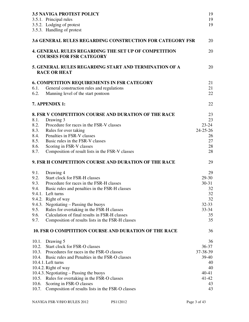|       | <b>3.5 NAVIGA PROTEST POLICY</b>                                                        | 19             |
|-------|-----------------------------------------------------------------------------------------|----------------|
|       | 3.5.1. Principal rules                                                                  | 19             |
|       | 3.5.2. Lodging of protest                                                               | 19             |
|       | 3.5.3. Handling of protest                                                              |                |
|       | <b>3.6 GENERAL RULES REGARDING CONSTRUCTION FOR CATEGORY FSR</b>                        | 20             |
|       | 4. GENERAL RULES REGARDING THE SET UP OF COMPETITION<br><b>COURSES FOR FSR CATEGORY</b> | 20             |
|       | 5. GENERAL RULES REGARDING START AND TERMINATION OF A<br><b>RACE OR HEAT</b>            | 20             |
|       | <b>6. COMPETITION REQUIREMENTS IN FSR CATEGORY</b>                                      | 21             |
| 6.1.  | General construction rules and regulations                                              | 21             |
| 6.2.  | Manning level of the start pontoon                                                      | 22             |
|       | 7. APPENDIX 1:                                                                          | 22             |
|       | 8. FSR V COMPETITION COURSE AND DURATION OF THE RACE                                    | 23             |
| 8.1.  | Drawing 3                                                                               | 23             |
| 8.2.  | Procedure for races in the FSR-V classes                                                | $23 - 24$      |
| 8.3.  | Rules for over taking                                                                   | $24 - 25 - 26$ |
| 8.4.  | Penalties in FSR-V classes                                                              | 26             |
| 8.5.  | Basic rules in the FSR-V classes                                                        | 27             |
| 8.6.  | Scoring in FSR-V classes                                                                | 28             |
| 8.7.  | Composition of result lists in the FSR-V classes                                        | 28             |
|       | 9. FSR H COMPETITION COURSE AND DURATION OF THE RACE                                    | 29             |
| 9.1.  | Drawing 4                                                                               | 29             |
| 9.2.  | <b>Start clock for FSR-H classes</b>                                                    | 29-30          |
| 9.3.  | Procedure for races in the FSR-H classes                                                | $30 - 31$      |
| 9.4.  | Basic rules and penalties in the FSR-H classes                                          | 32             |
|       | 9.4.1. Left turns                                                                       | 32             |
|       | 9.4.2. Right of way                                                                     | 32             |
|       | 9.4.3. Negotiating – Passing the buoys                                                  | $32 - 33$      |
| 9.5.  | Rules for overtaking in the FSR-H classes                                               | $33 - 34$      |
| 9.6.  | Calculation of final results in FSR-H classes                                           | 35             |
| 9.7.  | Composition of results lists in the FSR-H classes                                       | 35             |
|       | <b>10. FSR O COMPITITION COURSE AND DURATION OF THE RACE</b>                            | 36             |
|       | 10.1. Drawing 5                                                                         | 36             |
|       | 10.2. Start clock for FSR-O classes                                                     | $36 - 37$      |
|       | 10.3. Procedures for races in the FSR-O classes                                         | 37-38-39       |
|       | 10.4. Basic rules and Penalties in the FSR-O classes                                    | 39-40          |
|       | 10.4.1. Left turns                                                                      | 40             |
|       | 10.4.2. Right of way                                                                    | 40             |
|       | 10.4.3. Negotiating – Passing the buoys                                                 | 40-41          |
|       | 10.5. Rules for overtaking in the FSR-O classes                                         | 41-42          |
| 10.6. | Scoring in FSR-O classes                                                                | 43             |
| 10.7. | Composition of results lists in the FSR-O classes                                       | 43             |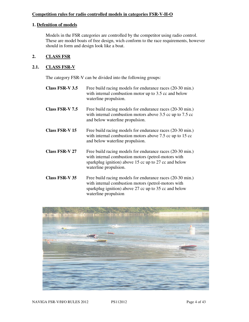## **Competition rules for radio controlled models in categories FSR-V-H-O**

#### **1. Defenition of models**

Models in the FSR categories are controlled by the competitor using radio control. These are model boats of free design, wich conform to the race requirements, however should in form and design look like a boat.

#### **2. CLASS FSR**

#### **2.1. CLASS FSR-V**

The category FSR-V can be divided into the following groups:

waterline propulsion

**Class FSR-V 3.5** Free build racing models for endurance races (20-30 min.) with internal combustion motor up to 3.5 cc and below waterline propulsion. **Class FSR-V 7.5** Free build racing models for endurance races (20-30 min.) with internal combustion motors above 3.5 cc up to 7.5 cc and below waterline propulsion. **Class FSR-V 15** Free build racing models for endurance races (20-30 min.) with internal combustion motors above 7.5 cc up to 15 cc and below waterline propulsion. **Class FSR-V 27** Free build racing models for endurance races (20-30 min.) with internal combustion motors (petrol-motors with sparkplug ignition) above 15 cc up to 27 cc and below waterline propulsion. **Class FSR-V 35** Free build racing models for endurance races (20-30 min.) with internal combustion motors (petrol-motors with



sparkplug ignition) above 27 cc up to 35 cc and below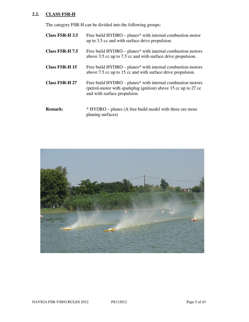# **2.2. CLASS FSR-H**

The category FSR-H can be divided into the following groups:

| Class FSR-H 3.5       | Free build HYDRO – planes* with internal combustion motor<br>up to 3.5 cc and with surface drive propulsion.                                                 |
|-----------------------|--------------------------------------------------------------------------------------------------------------------------------------------------------------|
| Class FSR-H 7.5       | Free build HYDRO – planes* with internal combustion motors<br>above 3.5 cc up to 7.5 cc and with surface drive propulsion.                                   |
| Class FSR-H 15        | Free build HYDRO – planes* with internal combustion motors<br>above 7.5 cc up to 15 cc and with surface drive propulsion.                                    |
| <b>Class FSR-H 27</b> | Free build HYDRO – planes* with internal combustion motors<br>(petrol-motor with sparkplug ignition) above 15 cc up to 27 cc<br>and with surface propulsion. |
| <b>Remark:</b>        | * HYDRO – planes (A free build model with three ore more<br>planing surfaces)                                                                                |

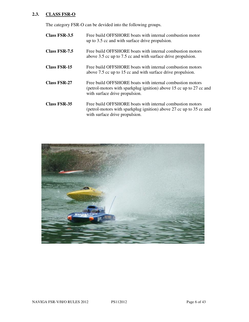# **2.3. CLASS FSR-O**

The category FSR-O can be devided into the following groups.

| Class FSR-3.5       | Free build OFFSHORE boats with internal combustion motor<br>up to 3.5 cc and with surface drive propulsion.                                                        |
|---------------------|--------------------------------------------------------------------------------------------------------------------------------------------------------------------|
| Class FSR-7.5       | Free build OFFSHORE boats with internal combustion motors<br>above 3.5 cc up to 7.5 cc and with surface drive propulsion.                                          |
| <b>Class FSR-15</b> | Free build OFFSHORE boats with internal combustion motors<br>above 7.5 cc up to 15 cc and with surface drive propulsion.                                           |
| <b>Class FSR-27</b> | Free build OFFSHORE boats with internal combustion motors<br>(petrol-motors with sparkplug ignition) above 15 cc up to 27 cc and<br>with surface drive propulsion. |
| <b>Class FSR-35</b> | Free build OFFSHORE boats with internal combustion motors<br>(petrol-motors with sparkplug ignition) above 27 cc up to 35 cc and<br>with surface drive propulsion. |

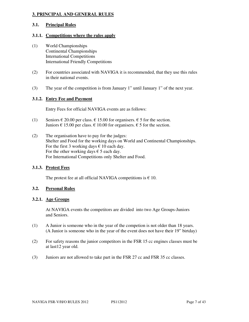## **3. PRINCIPAL AND GENERAL RULES**

#### **3.1. Principal Rules**

# **3.1.1. Competitions where the rules apply**

- (1) World Championships Continental Championships International Competitions International Friendly Competitions
- (2) For countries associated with NAVIGA it is recommended, that they use this rules in their national events.
- (3) The year of the competition is from January 1" until January 1" of the next year.

# **3.1.2. Entry Fee and Payment**

Entry Fees for official NAVIGA events are as follows:

- (1) Seniors  $\epsilon$  20.00 per class.  $\epsilon$  15.00 for organisers.  $\epsilon$  5 for the section. Juniors  $\epsilon$  15.00 per class.  $\epsilon$  10.00 for organisers.  $\epsilon$  5 for the section.
- (2) The organisation have to pay for the judges: Shelter and Food for the working days on World and Continental Championships. For the first 3 working days  $\epsilon$  10 each day. For the other working days  $\epsilon$  5 each day. For International Competitions only Shelter and Food.

## **3.1.3. Protest Fees**

The protest fee at all official NAVIGA competitions is  $\epsilon$  10.

# **3.2. Personal Rules**

#### **3.2.1. Age Groups**

At NAVIGA events the competitors are divided into two Age Groups-Juniors and Seniors.

- (1) A Junior is someone who in the year of the competion is not older than 18 years. (A Junior is someone who in the year of the event does not have their 19" birtday)
- (2) For safety reasons the junior competitors in the FSR 15 cc engines classes must be at last12 year old.
- (3) Juniors are not allowed to take part in the FSR 27 cc and FSR 35 cc classes.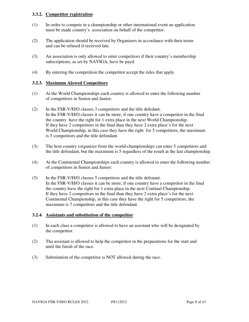## **3.3.2. Competitor registration**

- (1) In order to compete in a championship or other international event an application must be made country's association on behalf of the competitor.
- (2) The application should be received by Organisers in accordance with their terms and can be refused if received late.
- (3) An association is only allowed to enter competitors if their country's membership subscriptions, as set by NAVIGA, have be payd.
- (4) By entering the competition the competitor accept the rules that apply.

## **3.2.3. Maximum Alowed Competitors**

- (1) At the World Championships each country is allowed to enter the following number of competitors in Senior and Junior:
- (2) In the FSR-V/H/O classes 3 competitors and the title defedant. In the FSR-V/H/O classes it can be more, if one country have a competitor in the final the country have the right for 1 extra place in the next World Championship. If they have 2 competitors in the final than they have 2 extra place's for the next World Championship, in this case they have the right for 5 competitors, the maximum is 5 competitors and the title defendant.
- (3) The host country (organizer from the world-championship) can enter 5 competitors and the title defendant, but the maximum is 5 regardless of the result at the last championship.
- (4) At the Continental Championships each country is allowed to enter the following number of competitors in Senior and Junior:
- (5) In the FSR-V/H/O classes 5 competitors and the title defenant. In the FSR-V/H/O classes it can be more, if one country have a competitor in the final the country have the right for 1 extra place in the next Continal Championship. If they have 2 competitors in the final than they have 2 extra place's for the next Continental Championship, in this case they have the right for 5 competitors, the maximum is 7 competitors and the title defendant.

#### **3.2.4. Assistants and substitution of the competitor**

- (1) In each class a competitor is allowed to have an assistant who will be designated by the competitor.
- (2) Tha assistant is allowed to help the competitor in the preparations for the start and until the finish of the race.
- (3) Substitution of the competitor is NOT allowed during the race.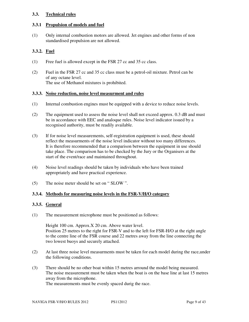## **3.3. Technical rules**

#### **3.3.1 Propulsion of models and fuel**

(1) Only internal combustion motors are allowed. Jet engines and other forms of non standardised propulsion are not allowed.

## **3.3.2. Fuel**

- (1) Free fuel is allowed except in the FSR 27 cc and 35 cc class.
- (2) Fuel in the FSR 27 cc and 35 cc class must be a petrol-oil mixture. Petrol can be of any octane level. The use of Methanol mixtures is prohibited.

#### **3.3.3. Noise reduction, noise level measurment and rules**

- (1) Internal combustion engines must be equipped with a device to reduce noise levels.
- (2) The equipment used to assess the noise level shall not exceed approx. 0.3 dB and must be in accordance with EEC and analoque rules. Noise level indicator issued by a recognised authority, must be readily available.
- (3) If for noise level measurements, self-registration equipment is used, these should reflect the measurments of the noise level indicator without too many differences. It is therefore recommended that a comparison between the equipment in use should take place. The comparison has to be checked by the Jury or the Organisers at the start of the event/race and maintained throughout.
- (4) Noise level readings should be taken by individuals who have been trained appropriately and have practical experience.
- (5) The noise meter should be set on " SLOW ".

#### **3.3.4. Methods for measuring noise levels in the FSR-V/H/O category**

#### **3.3.5. General**

(1) The measurement microphone must be positioned as follows:

Height 100 cm. Approx.X 20 cm. Above water level. Position 25 metres to the right for FSR-V and to the left for FSR-H/O at the right angle to the centre line of the FSR course and 22 metres away from the line connecting the two lowest buoys and securely attached.

- (2) At last three noise level measurments must be taken for each model during the race,under the following conditions.
- (3) There should be no other boat within 15 metres arround the model being measured. The noise measurement must be taken when the boat is on the base line at last 15 metres away from the microphone. The measurements must be evenly spaced durig the race.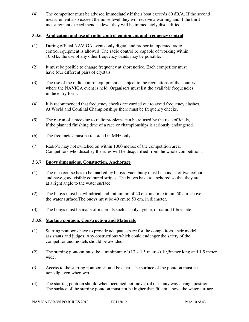(4) The competitor must be advised immediately if their boat exceeds 80 dB/A. If the second measurement also exceed the noise level they will receive a warning and if the third measurement exceed thenoise level they will be immediately disqualified.

#### **3.3.6. Application and use of radio control equipment and frequency control**

- (1) During official NAVIGA events only digital and proportial operated radio control equipment is allowed. The radio control be capable of working within 10 kHz, the use of any other frequency bands may be possible.
- (2) It must be posible to change frequency at short notice. Each competitor must have four different pairs of crystals.
- (3) The use of the radio control equipment is subject to the regulations of the country where the NAVIGA event is held. Organisers must list the available frequencies in the entry form.
- (4) It is recommended that frequency checks are carried out to avoid frequency clashes. At World and Continal Championships there must be frequency checks.
- (5) The re-run of a race due to radio problems can be refused by the race officials, if the planned finishing time of a race or championships is seriously endangered.
- (6) The frequncies must be recorded in MHz only.
- (7) Radio's may not switched on within 1000 metres of the competition area. Competitors who dissobey the rules will be disqualified from the whole competition.

#### **3.3.7. Buoys dimensions, Constuction, Anchorage**

- (1) The race course has to be marked by buoys. Each buoy must be concist of two colours and have good visible coloured stripes. The buoys have to anchored so that they are at a right angle to the water surface.
- (2) The buoys must be cylindrical and minimum of 20 cm. and maximum 50 cm. above the water surface.The buoys must be 40 cm.to 50 cm. in diameter.
- (3) The bouys must be made of materials such as polystyrene, or natural fibres, etc.

#### **3.3.8. Starting pontoon, Construction and Materials**

- (1) Starting pontoons have to provide adequate space for the competitors, their model, assistants and judges. Any obstructions which could endanger the safety of the competitor and models should be avoided.
- (2) The starting pontoon must be a minimum of (13 x 1.5 metres) 19,5meter long and 1.5 meter wide.
- (3 Access to the starting pontoon should be clear. The surface of the pontoon must be non slip even when wet.
- (4) The starting pontoon should when occupied not move, rol or in any way change position. The surface of the starting pontoon must not be higher than 50 cm. above the water surface.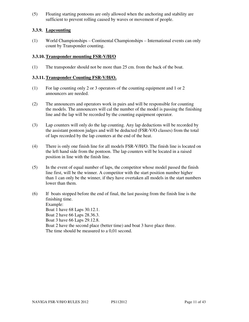(5) Floating starting pontoons are only allowed when the anchoring and stability are sufficient to prevent rolling caused by waves or movement of people.

## **3.3.9. Lapcounting**

(1) World Championships – Continental Championships – International events can only count by Transponder counting.

#### **3.3.10. Transponder mounting FSR-V/H/O**

(1) The transponder should not be more than 25 cm. from the back of the boat.

## **3.3.11. Transponder Counting FSR-V/H/O.**

- (1) For lap counting only 2 or 3 operators of the counting equipment and 1 or 2 announcers are needed.
- (2) The announcers and operators work in pairs and will be responsible for counting the models. The announcers will cal the number of the model is passing the finishing line and the lap will be recorded by the counting equipment operator.
- (3) Lap counters will only do the lap counting. Any lap deductions will be recorded by the assistant pontoon judges and will be deducted (FSR-V/O classes) from the total of laps recorded by the lap counters at the end of the heat.
- (4) There is only one finish line for all models FSR-V/H/O. The finish line is located on the left hand side from the pontoon. The lap counters will be located in a raised position in line with the finish line.
- (5) In the event of equal number of laps, the competitor whose model passed the finish line first, will be the winner. A competitor with the start position number higher than 1 can only be the winner, if they have overtaken all models in the start numbers lower than them.
- (6) If boats stopped before the end of final, the last passing from the finish line is the finishing time. Example: Boat 1 have 68 Laps 30.12.1. Boat 2 have 66 Laps 28.36.3. Boat 3 have 66 Laps 29.12.8. Boat 2 have the second place (better time) and boat 3 have place three. The time should be measured to a 0,01 second.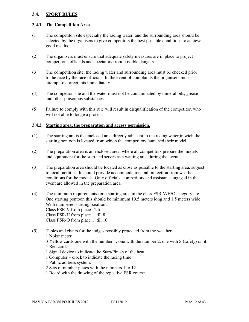## **3.4. SPORT RULES**

#### **3.4.1. The Competition Area**

- (1) The competiton site especially the racing water and the surrounding area should be selected by the organisers to give competitors the best possible conditions to achieve good results.
- (2) The organisers must ensure that adequate safety measures are in place to project competitors, officials and spectators from possible dangers.
- (3) The competition site, the racing water and surrounding area must be checked prior to the race by the race officials. In the event of complaints the organisers must attempt to correct this immediately.
- (4) The competion site and the water must not be contaminated by mineral oils, grease and other poisonous substances.
- (5) Failure to comply with this rule will result in disqualification of the competitor, who will not able to lodge a protest.

#### **3.4.2. Starting area, the preparation and access permission.**

- (1) The starting are is the enclosed area directly adjacent to the racing water,in wich the starting pontoon is located from which the competitors launched their model.
- (2) The preparation area is an enclosed area, where all competitors prepare the models and equipment for the start and serves as a waiting area during the event.
- (3) The preparation area should be located as close as possible to the starting area, subject to local facilities. It should provide accommodation and protection from weather conditions for the models. Only officials, competitors and assistants engaged in the event are allowed in the preparation area.
- (4) The minimum requirements for a starting area in the class FSR-V/H/O category are. One starting pontoon this should be minimum 19.5 meters long and 1.5 meters wide. With numbered starting positions: Class FSR-V from place 12 till 1. Class FSR-H from place 1 till 8. Class FSR-O from place 1 till 10.
- (5) Tables and chairs for the judges possibly protected from the weather. 1 Noise meter.
	- 3 Yellow cards one with the number 1, one with the number 2, one with S (safety) on it. 1 Red card.
	- 1 Signal device to indicate the Start/Finish of the heat.
	- 1 Computer clock to indicate the racing time.
	- 1 Public address system.
	- 2 Sets of number plates with the numbers 1 to 12.
	- 1 Board with the drawing of the repective FSR course.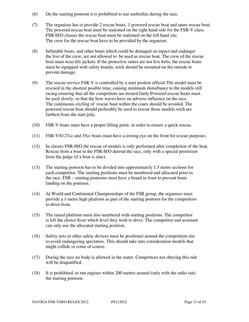- (6) On the starting pontoon it is prohibited to use umbrellas during the race.
- (7) The organiser has to provide 2 rescue boats, 1 powered rescue boat and spare rescue boat. The powered rescue boat must be stationed on the right hand side for the FSR-V class. FSR-H/O classes the rescue boat must be stationed on the left hand site. The crew for the rescue boat have to be provided by the organiser.
- (8) Inflatable boats, and other boats which could be demaged on inpact and endanger the live of the crew, are not allowed to be used as rescue boat. The crew of the rescue boat must wear life jackets. If the protective suites are not live belts, the rescue boats must be equipped with safety boards, wich should be mounted on the outside to prevent damage.
- (9) The rescue service FSR-V is controlled by a start positon official.The model must be rescued in the shortest posible time, causing minimum disturbance to the models still racing ensuring that all the competitors are treated fairly.Powered rescue boats must be used slowly, so that the bow waves have no adverse influence on the race. The continuous circling of rescue boat within the cours should be avoided. The powered rescue boat should preferably be used to rescue those models wich are farthest from the start jetty.
- (10) FSR-V boats must have a proper lifting point, in order to ensure a quick rescue.
- (11) FSR-V/O 27cc and 35cc boats must have a towing eye on the front for rescue purposes.
- (12) In classes FSR-H/O the rescue of models is only performed after completion of the heat. Rescue from a boat in the FSR-H/O durend the race, only with a special permision from the judge (if a boat is zinc).
- (13) The starting pontoon has to be divided into approximately 1.5 metre sections for each competitor. The starting positions must be numbered and allocated prior to the race. FSR – starting pontoons must have a board in front to prevent boats landing on the pontoon.
- (14) At World and Continental Championships of the FSR group, the organiser must provide a 1 metre high platform as part of the starting pontoon for the competitors to drive from.
- (15) The raised platform must also numbered with starting positions. The competitor is left the choice from which level they wish to drive. The competitor and assistant can only use the allocated starting position.
- (16) Safety nets or other safety devices must be positionet around the competition site to avoid endangering spectators. This should take into consideration models that might collide or come of course.
- (17) During the race no body is allowed in the water. Competitors not obeying this rule will be disqualified.
- (18) It is prohibited, to run engines within 200 metres around (only with the radio out) the starting pontoon.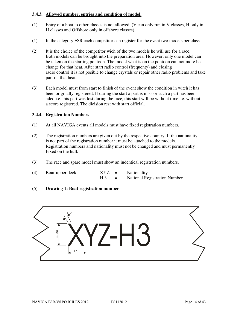## **3.4.3. Allowed number, entries and condition of model.**

- (1) Entry of a boat to other classes is not allowed. (V can only run in V classes, H only in H classes and Offshore only in offshore classes).
- (1) In the category FSR each competitor can register for the event two models per class.
- (2) It is the choice of the competitor wich of the two models he will use for a race. Both models can be brought into the preparation area. However, only one model can be taken on the starting pontoon. The model what is on the pontoon can not more be change for that heat. After start radio control (frequenty) and closing radio control it is not posible to change crystals or repair other radio problems and take part on that heat.
- (3) Each model must from start to finish of the event show the condition in witch it has been originally registered. If during the start a part is miss or such a part has been aded i.e. this part was lost during the race, this start will be without time i.e. without a score registered. The dicision rest with start official.

## **3.4.4. Registration Numbers**

- (1) At all NAVIGA events all models must have fixed registration numbers.
- (2) The registration numbers are given out by the respective country. If the nationality is not part of the registration number it must be attached to the models. Registration numbers and nationality must not be changed and must permanently Fixed on the hull.
- (3) The race and spare model must show an indentical registration numbers.
- (4) Boat-upper deck XYZ = Nationality  $H3 =$  National Registration Number
- (5) **Drawing 1: Boat registration number**

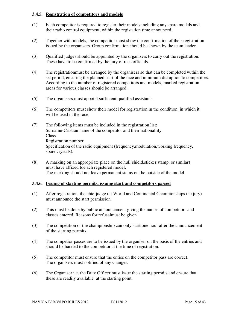#### **3.4.5. Registration of competitors and models**

- (1) Each competitor is required to register their models including any spare models and their radio control equipment, within the registation time announced.
- (2) Together with models, the competitor must show the confirmation of their registration issued by the organisers. Group confirmation should be shown by the team leader.
- (3) Qualified judges should be appointed by the organisers to carry out the registration. These have to be confirmed by the jury of race officials.
- (4) The registrationmust be arranged by the organisers so that can be completed within the set period, ensuring the planned start of the race and minimum disruption to competitors. According to the number of registered competitors and models, marked registration areas for various classes should be arranged.
- (5) The organisers must appoint sufficient qualified assistants.
- (6) The competitors must show their model for registration in the condition, in which it will be used in the race.
- (7) The following items must be included in the registration list: Surname-Cristian name of the competitor and their nationallity. Class. Registration number. Specification of the radio equipment (frequency,modulation,working frequency, spare crystals).
- (8) A marking on an appropriate place on the hull(shield,sticker,stamp, or similar) must have affixed toe ach registered model. The marking should not leave permanent stains on the outside of the model.

## **3.4.6. Issuing of starting permits, issuing start and competitors passed**

- (1) After registration, the chiefjudge (at World and Continental Championships the jury) must announce the start permission.
- (2) This must be done by public announcement giving the names of competitors and classes entered. Reasons for refusalmust be given.
- (3) The competition or the championship can only start one hour after the announcement of the starting permits.
- (4) The competior passes are to be issued by the organiser on the basis of the entries and should be handed to the competitor at the time of registration.
- (5) The competitor must ensure that the enties on the competitor pass are correct. The organisers must notified of any changes.
- (6) The Organiser i.e. the Duty Officer must issue the starting permits and ensure that these are readily available at the starting point.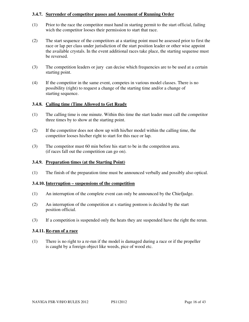## **3.4.7. Surrender of competitor passes and Assesment of Running Order**

- (1) Prior to the race the competitor must hand in starting permit to the start official, failing wich the competitor looses their permission to start that race.
- (2) The start sequence of the competitors at a starting point must be assessed prior to first the race or lap per class under jurisdiction of the start position leader or other wise appoint the available crystals. In the event additional races take place, the starting sequense must be reversed.
- (3) The competition leaders or jury can decise which frequencies are to be used at a certain starting point.
- (4) If the competitor in the same event, competes in various model classes. There is no possibility (right) to request a change of the starting time and/or a change of starting sequence.

## **3.4.8. Calling time (Time Allowed to Get Ready**

- (1) The calling time is one minute. Within this time the start leader must call the competitor three times by to show at the starting point.
- (2) If the competitor does not show up with his/her model within the calling time, the competitor looses his/her right to start for this race or lap.
- (3) The competitor must 60 min before his start to be in the competiton area. (if races fall out the competition can go on).

#### **3.4.9. Preparation times (at the Starting Point)**

(1) The finish of the preparation time must be announced verbally and possibly also optical.

#### **3.4.10. Interruption – suspensions of the competition**

- (1) An interruption of the complete event can only be announced by the Chiefjudge.
- (2) An interruption of the competition at s starting pontoon is decided by the start position official.
- (3) If a competition is suspended only the heats they are suspended have the right the rerun.

## **3.4.11. Re-run of a race**

(1) There is no right to a re-run if the model is damaged during a race or if the propeller is caught by a foreign object like weeds, pice of wood etc.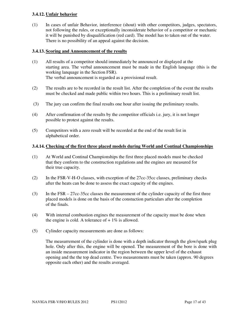## **3.4.12. Unfair behavior**

(1) In cases of unfair Behavior, interference (shout) with other competitors, judges, spectators, not following the rules, or exceptionally inconsiderate behavior of a competitor or mechanic it will be punished by disqualification (red card). The model has to taken out of the water. There is no possibility of an appeal against the decision.

## **3.4.13. Scoring and Announcement of the results**

- (1) All results of a competitor should immediately be announced or displayed at the starting area. The verbal announcement must be made in the English lanquage (this is the working lanquage in the Section FSR). The verbal announcement is regarded as a provisional result.
- (2) The results are to be recorded in the result list. After the completion of the event the results must be checked and made public within two hours. This is a preliminary result list.
- (3) The jury can confirm the final results one hour after issuing the preliminary results.
- (4) After confirmation of the results by the competitor officials i.e. jury, it is not longer possible to protest against the results.
- (5) Competitors with a zero result will be recorded at the end of the result list in alphabetical order.

## **3.4.14. Checking of the first three placed models during World and Continal Championships**

- (1) At World and Continal Championships the first three placed models must be checked that they conform to the construction regulations and the engines are measured for their true capacity.
- (2) In the FSR-V-H-O classes, with exception of the 27cc-35cc classes, preliminary checks after the heats can be done to assess the exact capacity of the engines.
- (3) In the FSR 27cc-35cc classes the measurement of the cylinder capacity of the first three placed models is done on the basis of the constuction particulars after the completion of the finals.
- (4) With internal combustion engines the measurement of the capacity must be done when the engine is cold. A tolerance of  $+1\%$  is allowed.
- (5) Cylinder capacity measurements are done as follows:

The measurrement of the cylinder is done with a depth indicator through the glow/spark plug hole. Only after this, the engine will be opened. The measurement of the bore is done with an inside measurement indicator in the region between the upper level of the exhaust opening and the the top dead centre. Two measurements must be taken (approx. 90 degrees opposite each other) and the results averaged.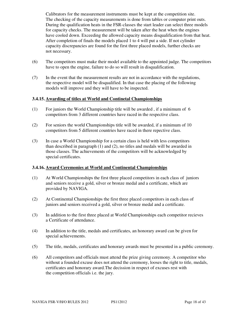Calibrators for the measurement instruments must be kept at the competition site. The checking of the capacity measurements is done from tables or computer print outs. During the qualification heats in the FSR-classes the start leader can select three models for capacity checks. The measurement will be taken after the heat when the engines have cooled down. Exceeding the allowed capacity means disqualification from that heat. After completion of finals the models placed 1 to 4 will put a side. If not cylinder capacity discrepancies are found for the first three placed models, further checks are not necessary.

- (6) The competitors must make their model available to the appointed judge. The competitors have to open the engine, failure to do so will result in disqualification.
- (7) In the event that the measurement results are not in accordance with the regulations, the respective model will be disqualified. In that case the placing of the following models will improve and they will have to be inspected.

## **3.4.15. Awarding of titles at World and Continetal Championships**

- (1) For juniors the World Championship title will be awarded , if a minimum of 6 competitors from 3 different countries have raced in the respective class.
- (2) For seniors the world Championships title will be awarded, if a minimum of 10 competitors from 5 different countries have raced in there repective class.
- (3) In case a World Championship for a certain class is held with less competitors than described in paragraph (1) and (2), no titles and medals will be awarded in those classes. The achievements of the competitors will be acknowledged by special certificates.

#### **3.4.16. Award Ceremonies at World and Continental Championships**

- (1) At World Championships the first three placed competitors in each class of juniors and seniors receive a gold, silver or bronze medal and a certificate, which are provided by NAVIGA.
- (2) At Continental Championships the first three placed competitors in each class of juniors and seniors received a gold, silver or bronze medal and a certificate.
- (3) In addition to the first three placed at World Championships each competitor recieves a Certificate of attendance.
- (4) In addition to the title, medals and certificates, an honorary award can be given for special achievements.
- (5) The title, medals, certificates and honorary awards must be presented in a public ceremony.
- (6) All competitors and officials must attend the prize giving ceremony. A competitor who without a founded excuse does not attend the ceremony, looses the right to title, medals, certificates and honorary award.The decission in respect of excuses rest with the competition officials i.e. the jury.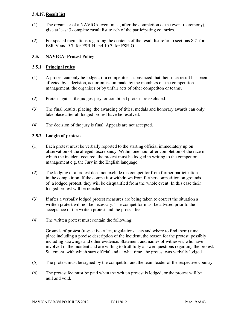## **3.4.17. Result list**

- (1) The organiser of a NAVIGA event must, after the completion of the event (ceremony), give at least 3 complete rusult list to ach of the participating countries.
- (2) For special regulations regarding the contents of the result list refer to sections 8.7. for FSR-V and 9.7. for FSR-H and 10.7. for FSR-O.

## **3.5. NAVIGA- Protest Policy**

## **3.5.1. Principal rules**

- (1) A protest can only be lodged, if a competitor is convinced that their race result has been affected by a decision, act or omission made by the members of the competition management, the organiser or by unfair acts of other competiton or teams.
- (2) Protest against the judges-jury, or combined protest are excluded.
- (3) The final results, placing, the awarding of titles, medals and honorary awards can only take place after all lodged protest have be resolved.
- (4) The decision of the jury is final. Appeals are not accepted.

## **3.5.2. Lodgin of protests**

- (1) Each protest must be verbally reported to the starting official immediately up on observation of the alleged discrepancy. Within one hour after completion of the race in which the incident occured, the protest must be lodged in writing to the competion management e.g. the Jury in the English lanquage.
- (2) The lodging of a protest does not exclude the competitor from further participation in the competition. If the competitor withdraws from further competition on grounds of a lodged protest, they will be disqualified from the whole event. In this case their lodged protest will be rejected.
- (3) If after a verbally lodged protest measures are being taken to correct the situation a written protest will not be necessary. The competitor must be advised prior to the acceptance of the written protest and the protest fee.
- (4) The written protest must contain the following:

Grounds of protest (respective rules, regulations, acts and where to find them) time, place including a precise description of the incident, the reason for the protest, possibly including drawings and other evidence. Statement and names of witnesses, who have involved in the incident and are willing to truthfully answer questions regarding the protest. Statement, with which start official and at what time, the protest was verbally lodged.

- (5) The protest must be signed by the competitor and the team leader of the respective country.
- (6) The protest fee must be paid when the written protest is lodged, or the protest will be null and void.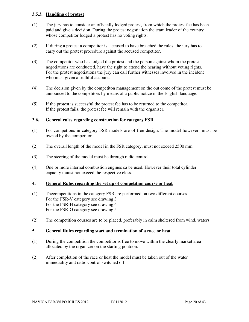## **3.5.3. Handling of protest**

- (1) The jury has to consider an officially lodged protest, from which the protest fee has been paid and give a decision. During the protest negotiation the team leader of the country whose competitor lodged a protest has no voting rights.
- (2) If during a protest a competitor is accused to have breached the rules, the jury has to carry out the protest procedure against the accused competitor.
- (3) The competitor who has lodged the protest and the person against whom the protest negotiations are conducted, have the right to attend the hearing without voting rights. For the protest negotiations the jury can call further witnesses involved in the incident who must given a truthful account.
- (4) The decision given by the competiton management on the out come of the protest must be announced to the competitors by means of a public notice in the English lanquage.
- (5) If the protest is successful the protest fee has to be returned to the competitor. If the protest fails, the protest fee will remain with the organiser.

#### **3.6. General rules regarding construction for category FSR**

- (1) For competions in category FSR models are of free design. The model however must be owned by the competitor.
- (2) The overall length of the model in the FSR category, must not exceed 2500 mm.
- (3) The steering of the model must be through radio control.
- (4) One or more internal combustion engines ca be used. However their total cylinder capacity munst not exceed the respective class.

#### **4. General Rules regarding the set up of competition course or heat**

- (1) Thecompetitions in the category FSR are performed on two different courses. For the FSR-V category see drawing 3 For the FSR-H category see drawing 4 For the FSR-O category see drawing 5
- (2) The competition courses are to be placed, preferably in calm sheltered from wind, waters.

#### **5. General Rules regarding start and termination of a race or heat**

- (1) During the competition the competitor is free to move within the clearly market area allocated by the organizer on the starting pontoon.
- (2) After completion of the race or heat the model must be taken out of the water immediality and radio control switched off.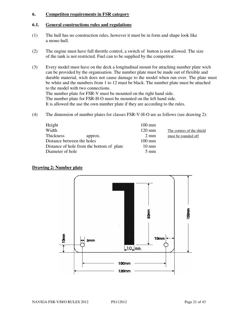#### **6. Competiton requirements in FSR category**

#### **6.1. General constructions rules and regulations**

- (1) The hull has no construction rules, however it must be in form and shape look like a mono hull.
- (2) The engine must have full throttle control, a switch of button is not allowed. The size of the tank is not restricted. Fuel can to be supplied by the competitor.
- (3) Every model must have on the deck a longitudinal mount for attaching number plate wich can be provided by the organisation. The number plate must be made out of flexible and durable material, wich does not cause damage to the model when run over. The plate must be white and the numbers from 1 to 12 must be black. The number plate must be attached to the model with two connections. The number plate for FSR-V must be mounted on the right hand side. The number plate for FSR-H-O must be mounted on the left hand side.

It is allowed the use the own number plate if they are according to the rules.

(4) The dimension of number plates for classes FSR-V-H-O are as follows (see drawing 2):

| Height                                    | $100 \text{ mm}$ |                           |
|-------------------------------------------|------------------|---------------------------|
| Width                                     | $120 \text{ mm}$ | The corners of the shield |
| Thickness<br>approx.                      | $2 \text{ mm}$   | must be rounded off       |
| Distance between the holes                | $100 \text{ mm}$ |                           |
| Distance of hole from the bottom of plate | $10 \text{ mm}$  |                           |
| Diameter of hole                          | $5 \text{ mm}$   |                           |

#### **Drawing 2: Number plate**

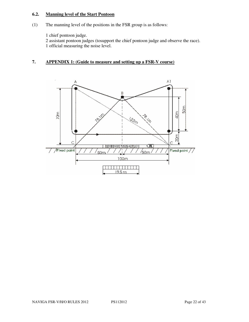## **6.2. Manning level of the Start Pontoon**

(1) The manning level of the positions in the FSR group is as follows:

1 chief pontoon judge.

2 assistant pontoon judges (tosupport the chief pontoon judge and observe the race). 1 official measuring the noise level.

## **7. APPENDIX 1: (Guide to measure and setting up a FSR-V course)**

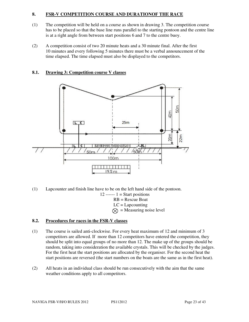## **8. FSR-V COMPETITION COURSE AND DURATIONOF THE RACE**

- (1) The competition will be held on a course as shown in drawing 3. The competition course has to be placed so that the base line runs parallel to the starting pontoon and the centre line is at a right angle from between start positions 6 and 7 to the centre buoy.
- (2) A competition consist of two 20 minute heats and a 30 minute final. After the first 10 minutes and every following 5 minutes there must be a verbal announcement of the time elapsed. The time elapsed must also be displayed to the competitors.



## **8.1. Drawing 3: Competition course V classes**

- (1) Lapcounter and finish line have to be on the left hand side of the pontoon.  $12$  ------  $1 =$  Start positions RB = Rescue Boat  $LC = Lapcounting$ 
	- $\otimes$  = Measuring noise level

## **8.2. Procedures for races in the FSR-V classes**

- (1) The course is sailed anti-clockwise. For every heat maximum of 12 and minimum of 3 competitors are allowed. If more than 12 competitors have entered the competition, they should be split into equal groups of no more than 12. The make up of the groups should be random, taking into consideration the available crystals. This will be checked by the judges. For the first heat the start positions are allocated by the organiser. For the second heat the start positions are reversed (the start numbers on the boats are the same as in the first heat).
- (2) All heats in an individual class should be run consecutively with the aim that the same weather conditions apply to all competitors.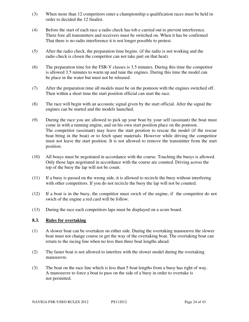- (3) When more than 12 competitors enter a championship a qualification races must be held in order to decided the 12 finalist.
- (4) Before the start of each race a radio check has tob e carried out to prevent interference. There fore all transmitters and receivers must be switched on. When it has be confirmed That there is no radio interference it is not longer possible to protest.
- (5) After the radio check, the preparation time begins. (if the radio is not working and the radio check is closen the competitor can not take part on that heat).
- (6) The preparation time for the FSR-V classes is 3.5 minutes. During this time the competitor is allowed 3.5 minutes to warm up and tune the engines. During this time the model can be place in the water but must not be released.
- (7) After the preparation time all models must be on the pontoon with the engines switched off. Then within a short time the start position official can start the race.
- (8) The race will begin with an accoustic signal given by the start official. After the signal the engines can be started and the models launched.
- (9) During the race you are allowed to pick up your boat by your self (assistant) the boat must come in with a running engine, and on his own start position place on the pontoon. The competitor (assistant) may leave the start position to rescue the model (if the rescue boat bring in the boat) or to fetch spare materials. However while driving the competitor must not leave the start position. It is not allowed to remove the transmitter from the start position.
- (10) All bouys must be negotiated in accordance with the course. Touching the buoys is allowed. Only those laps negotiated in accordance with the course are counted. Driving across the top of the buoy the lap will not be count.
- (11) If a buoy is passed on the wrong side, it is allowed to recircle the buoy without interfering with other competitors. If you do not recircle the buoy the lap will not be counted.
- (12) If a boat is in the buoy, the compititor must swich of the engine, if the competitor do not swich of the engine a red card will be follow.
- (13) During the race each competitors laps must be displayed on a score board.

#### **8.3. Rules for overtaking**

- (1) A slower boat can be overtaken on either side. During the overtaking manoeuvre the slower boat must not change course or get the way of the overtaking boat. The overtaking boat can return to the racing line when no less then three boat lengths ahead.
- (2) The faster boat is not allowed to interfere with the slower model during the overtaking manoeuvre.
- (3) The boat on the race line which is less than 5 boat lengths from a buoy has right of way. A manoeuvre to force a boat to pass on the side of a buoy in order to overtake is not permitted.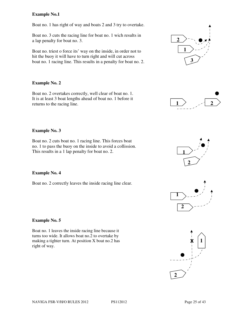## **Example No.1**

Boat no. 1 has right of way and boats 2 and 3 try to overtake.

Boat no. 3 cuts the racing line for boat no. 1 wich results in a lap penalty for boat no. 3.

Boat no. triest o force its' way on the inside, in order not to hit the buoy it will have to turn right and will cut across boat no. 1 racing line. This results in a penalty for boat no. 2.

## **Example No. 2**

Boat no. 2 overtakes correctly, well clear of boat no. 1. It is at least 3 boat lengths ahead of boat no. 1 before it returns to the racing line.

#### **Example No. 3**

Boat no. 2 cuts boat no. 1 racing line. This forces boat no. 1 to pass the buoy on the inside to avoid a collission. This results in a 1 lap penalty for boat no. 2.

#### **Example No. 4**

Boat no. 2 correctly leaves the inside racing line clear.

#### **Example No. 5**

Boat no. 1 leaves the inside racing line because it turns too wide. It allows boat no.2 to overtake by making a tighter turn. At position X boat no.2 has right of way.



**1**

 $\overline{\textbf{X}}$ 









**2**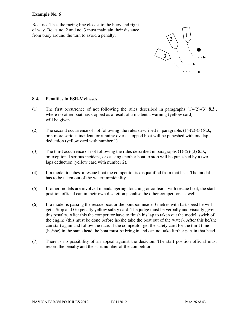#### **Example No. 6**

Boat no. 1 has the racing line closest to the buoy and right of way. Boats no. 2 and no. 3 must maintain their distance from buoy around the turn to avoid a penalty.



#### **8.4. Penalties in FSR-V classes**

- (1) The first occurrence of not following the rules described in paragraphs (1)-(2)-(3) **8.3.,** where no other boat has stopped as a result of a incdent a warning (yellow card) will be given.
- (2) The second occurrence of not following the rules described in paragraphs (1)-(2)-(3) **8.3.,** or a more serious incident, or running over a stopped boat will be puneshed with one lap deduction (yellow card with number 1).
- (3) The third occurrence of not following the rules described in paragraphs (1)-(2)-(3) **8.3.,** or exeptional serious incident, or causing another boat to stop will be puneshed by a two laps deduction (yellow card with number 2).
- (4) If a model touches a rescue boat the competitor is disqualified from that heat. The model has to be taken out of the water immidiality.
- (5) If other models are involved in endangering, touching or collision with rescue boat, the start position official can in their own discretion penalise the other competitors as well.
- (6) If a model is passing the rescue boat or the pontoon inside 3 metres with fast speed he will get a Stop and Go penalty yellow safety card. The judge must be verbally and visually given this penalty. After this the competitor have to finish his lap to taken out the model, swich of the engine (this must be done before he/she take the boat out of the water). After this he/she can start again and follow the race. If the competitor get the safety card for the third time (he/she) in the same head the boat must be bring in and can not take further part in that head.
- (7) There is no possibility of an appeal against the decicion. The start position official must record the penalty and the start number of the competitor.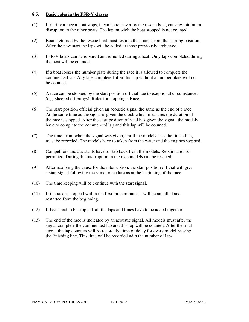#### **8.5. Basic rules in the FSR-V classes**

- (1) If during a race a boat stops, it can be retriever by the rescue boat, causing minimum disruption to the other boats. The lap on wich the boat stopped is not counted.
- (2) Boats returned by the rescue boat must resume the course from the starting position. After the new start the laps will be added to those previously archieved.
- (3) FSR-V boats can be repaired and refuelled during a heat. Only laps completed during the heat will be counted.
- (4) If a boat looses the number plate during the race it is allowed to complete the commenced lap. Any laps completed after this lap without a number plate will not be counted.
- (5) A race can be stopped by the start position official due to exeptional circumstances (e.g. sheered off buoys). Rules for stopping a Race.
- (6) The start position official given an acoustic signal the same as the end of a race. At the same time as the signal is given the clock which measures the duration of the race is stopped. After the start position official has given the signal, the models have to complete the commenced lap and this lap will be counted.
- (7) The time, from when the signal was given, untill the models pass the finish line, must be recorded. The models have to taken from the water and the engines stopped.
- (8) Competitors and assistants have to step back from the models. Repairs are not permitted. During the interruption in the race models can be rescued.
- (9) After resolving the cause for the interruption, the start position official will give a start signal following the same procedure as at the beginning of the race.
- (10) The time keeping will be continue with the start signal.
- (11) If the race is stopped within the first three minutes it will be annulled and restarted from the beginning.
- (12) If heats had to be stopped, all the laps and times have to be added together.
- (13) The end of the race is indicated by an acoustic signal. All models must after the signal complete the commended lap and this lap will be counted. After the final signal the lap counters will be record the time of delay for every model passing the finishing line. This time will be recorded with the number of laps.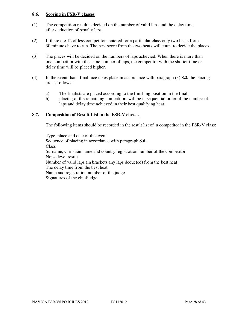#### **8.6. Scoring in FSR-V classes**

- (1) The competition result is decided on the number of valid laps and the delay time after deduction of penalty laps.
- (2) If there are 12 of less competitors entered for a particular class only two heats from 30 minutes have to run. The best score from the two heats will count to decide the places.
- (3) The places will be decided on the numbers of laps achevied. When there is more than one competitor with the same number of laps, the competitor with the shorter time or delay time will be placed higher.
- (4) In the event that a final race takes place in accordance with paragraph (3) **8.2.** the placing are as follows:
	- a) The finalists are placed according to the finishing position in the final.
	- b) placing of the remaining competitors will be in sequential order of the number of laps and delay time achieved in their best qualifying heat.

## **8.7. Composition of Result List in the FSR-V classes**

The following items should be recorded in the result list of a competitor in the FSR-V class:

Type, place and date of the event Sequence of placing in accordance with paragraph **8.6. Class** Surname, Christian name and country registration number of the competitor Noise level result Number of valid laps (in brackets any laps deducted) from the best heat The delay time from the best heat Name and registration number of the judge Signatures of the chiefjudge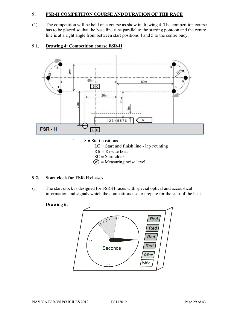## **9. FSR-H COMPETITON COURSE AND DURATION OF THE RACE**

(1) The competition will be held on a course as show in drawing 4. The competition course has to be placed so that the base line runs parallel to the starting pontoon and the centre line is at a right angle from between start positions 4 and 5 to the centre buoy.

## **9.1. Drawing 4: Competition course FSR-H**



 $\otimes$  = Measuring noise level

## **9.2. Start clock for FSR-H classes**

(1) The start clock is designed for FSR-H races with special optical and accoustical information and signals which the competitors use to prepare for the start of the heat.

#### **Drawing 6:**

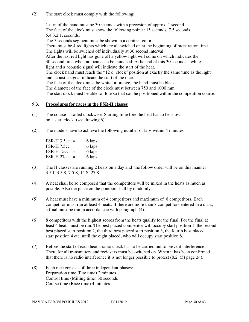(2) The start clock must comply with the following:

1 turn of the hand must be 30 seconds with a precesion of approx. 1 second. The face of the clock must show the following points: 15 seconds, 7.5 seconds, 5,4,3,2,1, seconds.

The 5 seconds segment must be shown in a contrast color.

There must be 4 red lights which are all swiched on at the beginning of preparation time. The lights will be swiched off individually at 30 second interval.

After the last red light has gone off a yellow light will come on which indicates the 30 second time when no boats can be launched. At he end of this 30 seconds a white light and a acoustic signal will indicate the start of the heat.

The clock hand must reach the "12 o' clock" position at exactly the same time as the light and acoustic signal indicate the start of the race.

The face of the clock must be white or orange, the hand must be black.

The diameter of the face of the clock must between 750 and 1000 mm.

The start clock must be able to flote so that can he positioned within the competition course.

## **9.3. Procedures for races in the FSR-H classes**

- (1) The course is sailed clockwise. Starting time fore the heat has to be show on a start clock. (see drawing 6)
- (2) The models have to achieve the following number of laps within 4 minutes:

FSR-H  $3.5cc = 6$  laps FSR-H 7.5cc = 6 laps FSR-H  $15cc = 6$  laps FSR-H  $27cc = 6$  laps

- (3) The H classes are running 2 heats on a day and the follow order will be on this manner 3.5 J, 3.5 S, 7.5 S, 15 S, 27 S.
- (4) A heat shall be so composed that the competitors will be mixed in the heats as much as posible. Also the place on the pontoon shall by randomly.
- (5) A heat must have a minimum of 4 competitors and maximum of 8 competitors. Each competitor must run at least 4 heats. If there are more than 8 competitors entered in a class, a final must be run in accordancce with paragraph (4).
- (6) 8 competitors with the highest scores from the heats qualify for the final. For the final at least 4 heats must be run. The best placed competitor will occupy start position 1, the second best placed start position 2, the third best placed start position 3, the fourth best placed start position 4 etc. until the eight placed, who will occupy start position 8.
- (7) Before the start of each heat a radio check has to be carried out to prevent interference. There for all transmitters and recievers must be switched on. When it has been confirmed that there is no radio interference it is not longer possible to protest (8.2. (5) page 24).
- (8) Each race consists of three independent phases: Preparation time (Pite time) 2 minutes Control time (Milling time) 30 seconds Course time (Race time) 4 minutes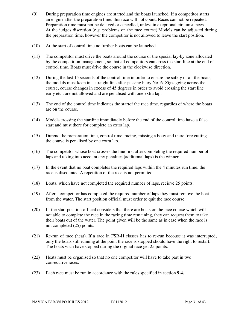- (9) During preparation time engines are started,and the boats launched. If a competitor starts an engine after the preparation time, this race will not count. Races can not be repeated. Preparation time must not be delayed or cancelled, unless in exeptional circumstances At the judges discretion (e.g. problems on the race course).Models can be adjusted during the preparation time, however the competitor is not allowed to leave the start position.
- (10) At the start of control time no further boats can be launched.
- (11) The competitor must drive the boats around the course or the special lay-by zone allocated by the competition management, so that all competitors can cross the start line at the end of control time. Boats must drive the course in the clockwise direction.
- (12) During the last 15 seconds of the control time in order to ensure the safety of all the boats, the models must keep in a straight line after passing buoy No. 6. Zigzagging across the course, course changes in excess of 45 degrees in order to avoid crossing the start line early etc., are not allowed and are penalised with one extra lap.
- (13) The end of the control time indicates the startof the race time, regardles of where the boats are on the course.
- (14) Models crossing the startline immidiately before the end of the control time have a false start and must there for complete an extra lap.
- (15) Durend the preparation time, control time, racing, missing a bouy and there fore cutting the course is penalised by one extra lap.
- (16) The competitor whose boat crosses the line first after completing the required number of laps and taking into account any penalties (additional laps) is the winner.
- (17) In the event that no boat completes the required laps within the 4 minutes run time, the race is discounted.A repetition of the race is not permitted.
- (18) Boats, which have not completed the required number of laps, recieve 25 points.
- (19) After a competitor has completed the required number of laps they must remove the boat from the water. The start position official must order to quit the race course.
- (20) If the start position official considers that there are boats on the race course which will not able to complete the race in the racing time remaining, they can request them to take their boats out of the water. The point given will be the same as in case when the race is not completed (25) points.
- (21) Re-run of race (heat). If a race in FSR-H classes has to re-run becouse it was interrupted, only the boats still running at the point the race is stopped should have the right to restart. The boats wich have stopped during the orginal race get 25 points.
- (22) Heats must be organised so that no one competitor will have to take part in two consecutive races.
- (23) Each race must be run in accordance with the rules specified in section **9.4.**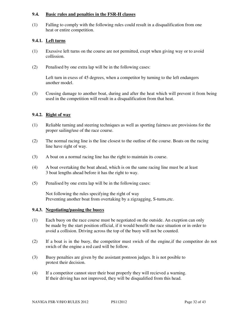#### **9.4. Basic rules and penalties in the FSR-H classes**

(1) Falling to comply with the following rules could result in a disqualification from one heat or entire competition.

## **9.4.1. Left turns**

- (1) Exessive left turns on the course are not permitted, exept when giving way or to avoid collission.
- (2) Penalised by one extra lap will be in the following cases:

Left turn in exess of 45 degrees, when a competitor by turning to the left endangers another model.

(3) Cousing damage to another boat, during and after the heat which will prevent it from being used in the competition will result in a disqualification from that heat.

## **9.4.2. Right of way**

- (1) Reliable turning and steering techniques as well as sporting fairness are provisions for the proper sailing/use of the race course.
- (2) The normal racing line is the line closest to the outline of the course. Boats on the racing line have right of way.
- (3) A boat on a normal racing line has the right to maintain its course.
- (4) A boat overtaking the boat ahead, which is on the same racing line must be at least 3 boat lengths ahead before it has the right to way.
- (5) Penalised by one extra lap will be in the following cases:

Not following the rules specifying the right of way Preventing another boat from overtaking by a zigzagging, S-turns,etc.

#### **9.4.3. Negotiating/passing the buoys**

- (1) Each buoy on the race course must be negotiated on the outside. An exeption can only be made by the start position official, if it would benefit the race situation or in order to avoid a collision. Driving across the top of the buoy will not be counted.
- (2) If a boat is in the buoy, the competitor must swich of the engine,if the competitor do not swich of the engine a red card will be follow.
- (3) Buoy penalties are given by the assistant pontoon judges. It is not posible to protest their decision.
- (4) If a competitor cannot steer their boat properly they will recieved a warning. If their driving has not improved, they will be disqualified from this head.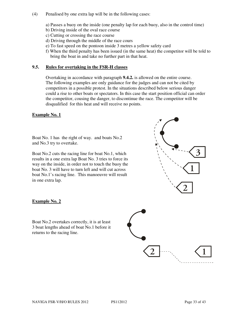#### (4) Penalised by one extra lap will be in the following cases:

a) Passes a buoy on the inside (one penalty lap for each buoy, also in the control time)

b) Driving inside of the oval race course

c) Cutting or crossing the race course

- d) Driving through the middle of the race cours
- e) To fast speed on the pontoon inside 3 metres a yellow safety card
- f) When the third penalty has been issued (in the same heat) the competitor will be told to bring the boat in and take no further part in that heat.

## **9.5. Rules for overtaking in the FSR-H classes**

Overtaking in accordance with paragraph **9.4.2.** is allowed on the entire course. The following examples are only guidance for the judges and can not be cited by competitors in a possible protest. In the situations described below serious danger could a rise to other boats or spectators. In this case the start position official can order the competitor, cousing the danger, to discontinue the race. The competitor will be disqualified for this heat and will receive no points.

#### **Example No. 1**

Boat No. 1 has the right of way. and boats No.2 and No.3 try to overtake.

Boat No.2 cuts the racing line for boat No.1, which results in a one extra lap Boat No. 3 tries to force its way on the inside, in order not to touch the buoy the boat No. 3 will have to turn left and will cut across boat No.1's racing line. This manoeuvre will result in one extra lap.



#### **Example No. 2**

Boat No.2 overtakes correctly, it is at least 3 boat lengths ahead of boat No.1 before it returns to the racing line.

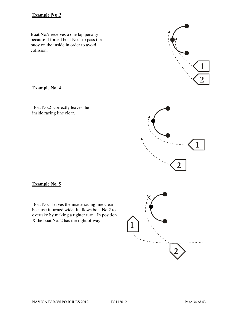# **Example No.3**

Boat No.2 receives a one lap penalty because it forced boat No.1 to pass the buoy on the inside in order to avoid collision.

## **Example No. 4**

Boat No.2 correctly leaves the inside racing line clear.



Boat No.1 leaves the inside racing line clear because it turned wide. It allows boat No.2 to overtake by making a tighter turn. In position X the boat No. 2 has the right of way.

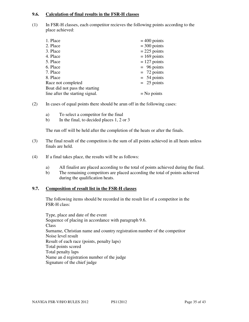#### **9.6. Calculation of final results in the FSR-H classes**

(1) In FSR-H classes, each competitor recieves the following points according to the place achieved:

| 1. Place                        | $= 400$ points |
|---------------------------------|----------------|
| 2. Place                        | $=$ 300 points |
| 3. Place                        | $= 225$ points |
| 4. Place                        | $= 169$ points |
| 5. Place                        | $= 127$ points |
| 6. Place                        | $= 96$ points  |
| 7. Place                        | $= 72$ points  |
| 8. Place                        | $= 54$ points  |
| Race not completed              | $= 25$ points  |
| Boat did not pass the starting  |                |
| line after the starting signal. | $=$ No points  |

- (2) In cases of equal points there should be arun off in the following cases:
	- a) To select a competitor for the final
	- b) In the final, to decided places 1, 2 or 3

The run off will be held after the completion of the heats or after the finals.

- (3) The final result of the competiton is the sum of all points achieved in all heats unless finals are held.
- (4) If a final takes place, the results will be as follows:
	- a) All finalist are placed according to the total of points achieved during the final.
	- b) The remaining competitors are placed according the total of points achieved during the qualification heats.

## **9.7. Composition of result list in the FSR-H classes**

The following items should be recorded in the result list of a competitor in the FSR-H class:

Type, place and date of the event Sequence of placing in accordance with paragraph 9.6. Class Surname, Christian name and country registration number of the competitor Noise level result Result of each race (points, penalty laps) Total points scored Total penalty laps Name an d registration number of the judge Signature of the chief judge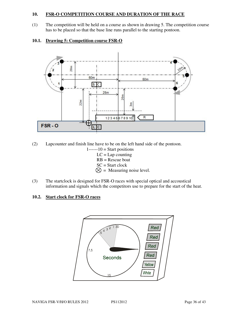## **10. FSR-O COMPETITION COURSE AND DURATION OF THE RACE**

(1) The competition will be held on a course as shown in drawing 5. The competition course has to be placed so that the base line runs parallel to the starting pontoon.

## **10.1. Drawing 5: Competition course FSR-O**



(2) Lapcounter and finish line have to be on the left hand side of the pontoon.

- $1$ ------10 = Start positions  $LC = Lap$  counting RB = Rescue boat  $SC = Start clock$  $\otimes$  = Measuring noise level.
- (3) The startclock is designed for FSR-O races with special optical and accoustical information and signals which the competitors use to prepare for the start of the heat.

### **10.2. Start clock for FSR-O races**

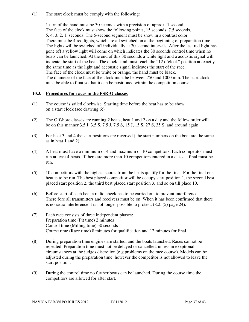(1) The start clock must be comply with the following:

1 turn of the hand must be 30 seconds with a precision of approx. 1 second. The face of the clock must show the following points, 15 seconds, 7.5 seconds, 5, 4, 3, 2, 1, seconds. The 5-second segment must be show in a contrast color. There must be 4 red lights, which are all switched on at the beginning of preparation time. The lights will be switched off individually at 30 second intervals. After the last red light has gone off a yellow light will come on which indicates the 30 seconds control time when no boats can be launched. At the end of this 30 seconds a white light and a acoustic signal will indicate the start of the heat. The clock hand must reach the "12 o'clock" position at exactly the same time as the light and accoustic signal indicates the start of the race. The face of the clock must be white or orange, the hand must be black. The diameter of the face of the clock must be between 750 and 1000 mm. The start clock must be able to float so that it can be positioned within the competition course.

#### **10.3. Procedures for races in the FSR-O classes**

- (1) The course is sailed clockwise. Starting time before the heat has to be show on a start clock (see drawing 6:)
- (2) The Offshore classes are running 2 heats, heat 1 and 2 on a day and the follow order will be on this manner 3.5 J, 3.5 S, 7.5 J, 7.5 S, 15 J, 15 S, 27 S, 35 S, and around again.
- (3) For heat 3 and 4 the start positions are reversed ( the start numbers on the boat are the same as in heat 1 and 2).
- (4) A heat must have a minimum of 4 and maximum of 10 competitors. Each competitor must run at least 4 heats. If there are more than 10 competitors entered in a class, a final must be run.
- (5) 10 competitors with the highest scores from the heats qualify for the final. For the final one heat is to be run. The best placed competitor will be occupy start position 1, the second best placed start position 2, the third best placed start position 3, and so on till place 10.
- (6) Before start of each heat a radio check has to be carried out to prevent interference. There fore all transmitters and receivers must be on. When it has been confirmed that there is no radio interference it is not longer possible to protest. (8.2. (5) page 24).
- (7) Each race consists of three independent phases: Preparation time (Pit time) 2 minutes Control time (Milling time) 30 seconds Course time (Race time) 8 minutes for qualification and 12 minutes for final.
- (8) During preparation time engines are started, and the boats launched. Races cannot be repeated. Preparation time must not be delayed or cancelled, unless in exeptional circumstances at the judges discretion (e.g.problems on the race course). Models can be adjusted during the preparation time, however the competitor is not allowed to leave the start position.
- (9) During the control time no further boats can be launched. During the course time the competitors are allowed for after start.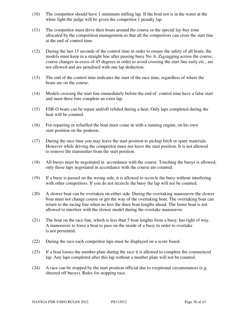- (10) The competitor should have 1 minimum milling lap. If the boat not is in the water at the white light the judge will be given the competitor 1 penalty lap.
- (11) The competitor must drive their boats around the course or the special lay-bay zone allocated by the competition management,so that all the competitors can cross the start line at the end of control time.
- (12) During the last 15 seconds of the control time in order to ensure the safety of all boats, the models must keep in a straight line after passing buoy No. 6. Zigzagging across the course, course changes in exess of 45 degrees in order to avoid crossing the start line early etc., are not allowed and are penalised with one lap deduction.
- (13) The end of the control time indicates the start of the race time, regardless of where the boats are on the course.
- (14) Models crossing the start line immediately before the end of control time have a false start and must there fore complete an extra lap.
- (15) FSR-O boats can be repair and/off refuled during a heat. Only laps completed during the heat will be counted.
- (16) For repairing or refuelled the boat must come in with a running engine, on his own start position on the pontoon.
- (17) During the race time you may leave the start position to pickup fetch or spare materials. However while driving the competitor must not leave the start position. It is not allowed to remove the transmitter from the start position.
- (18) All buoys must be negotiated in accordance with the course. Touching the buoys is allowed, only those laps negotiated in accordance with the course are counted.
- (19) If a buoy is passed on the wrong side, it is allowed to recircle the buoy without interfering with other competitors. If you do not recercle the buoy the lap will not be counted.
- (20) A slower boat can be overtaken on either side. During the overtaking manoeuvre the slower boat must not change course or get the way of the overtaking boat. The overtaking boat can return to the racing line when no less the three boat lengths ahead. The faster boat is not allowed to interfere with the slower model during the overtake manoeuvre.
- (21) The boat on the race line, which is less than 5 boat lenghts from a buoy, has right of way. A manoeuvre to force a boat to pass on the inside of a buoy in order to overtake is not permitted.
- (22) During the race each competitor laps must be displayed on a score board.
- (23) If a boat looses the number plate during the race it is allowed to complete the commenced lap. Any laps completed after this lap without a number plate will not be counted.
- (24) A race can be stopped by the start position official due to exeptional circumstances (e.g. sheered off buoys). Rules for stopping race.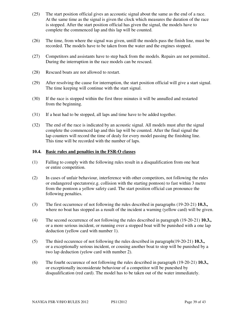- (25) The start position official gives an accoustic signal about the same as the end of a race. At the same time as the signal is given the clock which measures the duration of the race is stopped. After the start position official has given the signal, the models have to complete the commenced lap and this lap will be counted.
- (26) The time, from where the signal was given, untill the models pass the finish line, must be recorded. The models have to be taken from the water and the engines stopped.
- (27) Competitors and assistants have to step back from the models. Repairs are not permitted.. During the interruption in the race models can be rescued.
- (28) Rescued boats are not allowed to restart.
- (29) After resolving the cause for interruption, the start position official will give a start signal. The time keeping will continue with the start signal.
- (30) If the race is stopped within the first three minutes it will be annulled and restarted from the beginning.
- (31) If a heat had to be stopped, all laps and time have to be added together.
- (32) The end of the race is indicated by an acoustic signal. All models must after the signal complete the commenced lap and this lap will be counted. After the final signal the lap counters will record the time of dealy for every model passing the finishing line. This time will be recorded with the number of laps.

#### **10.4. Basic rules and penalties in the FSR-O classes**

- (1) Falling to comply with the following rules result in a disqualification from one heat or entire competition.
- (2) In cases of unfair behaviour, interference with other competitors, not following the rules or endangered spectators(e.g. collision with the starting pontoon) to fast within 3 metre from the pontoon a yellow safety card. The start position official can pronounce the following penalties.
- (3) The first occurrence of not following the rules described in paragraphs (19-20-21) **10.3.,** where no boat has stopped as a rusult of the incident a warning (yellow card) will be given.
- (4) The second occurrence of not following the rules described in paragraph (19-20-21) **10.3.,** or a more serious incident, or running over a stopped boat will be punished with a one lap deduction (yellow card with number 1).
- (5) The third occurence of not following the rules described in paragraph(19-20-21) **10.3.,** or a exceptionally serious incident, or cousing another boat to stop will be punished by a two lap deduction (yelow card with number 2).
- (6) The fourht occurence of not following the rules described in paragraph (19-20-21) **10.3.,** or exceptionally inconsiderate behaviour of a competitor will be puneshed by disqualification (red card). The model has to be taken out of the water immediately.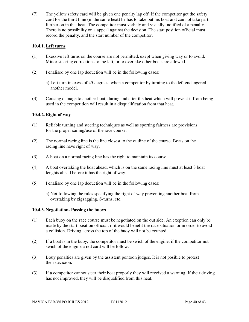(7) The yellow safety card will be given one penalty lap off. If the competitor get the safety card for the third time (in the same heat) he has to take out his boat and can not take part further on in that heat. The competitor must verbaly and visually notified of a penalty. There is no possibility on a appeal against the decision. The start position official must record the penalty, and the start number of the competitor.

## **10.4.1. Left turns**

- (1) Exessive left turns on the course are not permitted, exept when giving way or to avoid. Minor steering corrections to the left, or to overtake other boats are allowed.
- (2) Penalised by one lap deduction will be in the following cases:
	- a) Left turn in exess of 45 degrees, when a competitor by turning to the left endangered another model.
- (3) Cousing damage to another boat, during and after the heat which will prevent it from being used in the competition will result in a disqualification from that heat.

## **10.4.2. Right of way**

- (1) Reliable turning and steering techniques as well as sporting fairness are provisions for the proper sailing/use of the race course.
- (2) The normal racing line is the line closest to the outline of the course. Boats on the racing line have right of way.
- (3) A boat on a normal racing line has the right to maintain its course.
- (4) A boat overtaking the boat ahead, which is on the same racing line must at least 3 boat lenghts ahead before it has the right of way.
- (5) Penalised by one lap deduction will be in the following cases:
	- a) Not following the rules specifying the right of way preventing another boat from overtaking by zigzagging, S-turns, etc.

#### **10.4.3. Negotiation- Passing the buoys**

- (1) Each buoy on the race course must be negotiated on the out side. An exeption can only be made by the start position official, if it would benefit the race situation or in order to avoid a collision. Driving across the top of the buoy will not be counted.
- (2) If a boat is in the buoy, the competitor must be swich of the engine, if the competitor not swich of the engine a red card will be follow.
- (3) Bouy penalties are given by the assistent pontoon judges. It is not posible to protest their decicion.
- (3) If a competitor cannot steer their boat proporly they will received a warning. If their driving has not improved, they will be disqualified from this heat.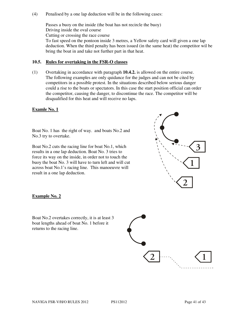(4) Penalised by a one lap deduction will be in the following cases:

Passes a buoy on the inside (the boat has not recircle the buoy) Driving inside the oval course Cutting or crossing the race course To fast speed on the pontoon inside 3 metres, a Yellow safety card will given a one lap deduction. When the third penalty has been issued (in the same heat) the competitor wil be bring the boat in and take not further part in that heat.

#### **10.5. Rules for overtaking in the FSR-O classes**

(1) Overtaking in accordance with paragraph **10.4.2.** is allowed on the entire course. The following examples are only quidance for the judges and can not be cited by competitors in a possible protest. In the situations described below serious danger could a rise to the boats or spectators. In this case the start position official can order the competitor, causing the danger, to discontinue the race. The competitor will be disqualified for this heat and will receive no laps.

#### **Examle No. 1**

Boat No. 1 has the right of way. and boats No.2 and No.3 try to overtake.

Boat No.2 cuts the racing line for boat No.1, which results in a one lap deduction. Boat No. 3 tries to force its way on the inside, in order not to touch the buoy the boat No. 3 will have to turn left and will cut across boat No.1's racing line. This manoeuvre will result in a one lap deduction.



#### **Example No. 2**

Boat No.2 overtakes correctly, it is at least 3 boat lengths ahead of boat No. 1 before it returns to the racing line.

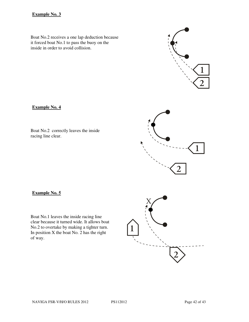## **Example No. 3**

Boat No.2 receives a one lap deduction because it forced boat No.1 to pass the buoy on the inside in order to avoid collision.

**Example No. 4**

Boat No.2 correctly leaves the inside racing line clear.

**Example No. 5**

Boat No.1 leaves the inside racing line clear because it turned wide. It allows boat No.2 to overtake by making a tighter turn. In position X the boat No. 2 has the right of way.